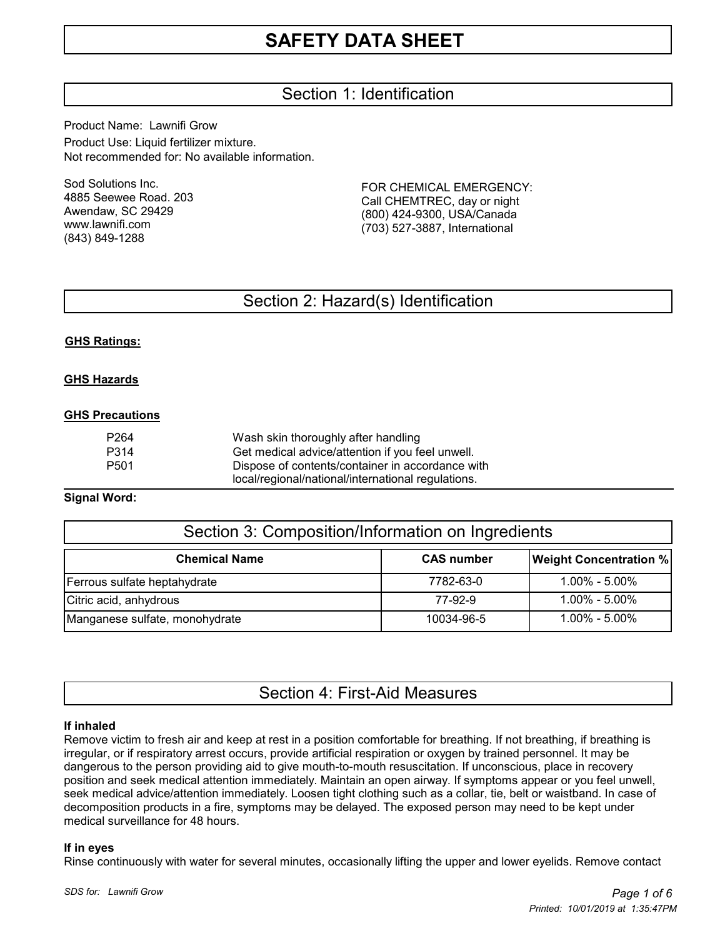## Section 1: Identification

Product Name: Lawnifi Grow Product Use: Liquid fertilizer mixture. Not recommended for: No available information.

Sod Solutions Inc. 4885 Seewee Road. 203 Awendaw, SC 29429 www.lawnifi.com (843) 849-1288

FOR CHEMICAL EMERGENCY: Call CHEMTREC, day or night (800) 424-9300, USA/Canada (703) 527-3887, International

## Section 2: Hazard(s) Identification

#### **GHS Ratings:**

#### **GHS Hazards**

#### **GHS Precautions**

| P264             | Wash skin thoroughly after handling                |
|------------------|----------------------------------------------------|
| P314             | Get medical advice/attention if you feel unwell.   |
| P <sub>501</sub> | Dispose of contents/container in accordance with   |
|                  | local/regional/national/international regulations. |

#### **Signal Word:**

| Section 3: Composition/Information on Ingredients |                   |                               |  |  |
|---------------------------------------------------|-------------------|-------------------------------|--|--|
| <b>Chemical Name</b>                              | <b>CAS number</b> | <b>Weight Concentration %</b> |  |  |
| Ferrous sulfate heptahydrate                      | 7782-63-0         | $1.00\% - 5.00\%$             |  |  |
| Citric acid, anhydrous                            | 77-92-9           | 1.00% - 5.00%                 |  |  |
| Manganese sulfate, monohydrate                    | 10034-96-5        | $1.00\% - 5.00\%$             |  |  |

## Section 4: First-Aid Measures

#### **If inhaled**

Remove victim to fresh air and keep at rest in a position comfortable for breathing. If not breathing, if breathing is irregular, or if respiratory arrest occurs, provide artificial respiration or oxygen by trained personnel. It may be dangerous to the person providing aid to give mouth-to-mouth resuscitation. If unconscious, place in recovery position and seek medical attention immediately. Maintain an open airway. If symptoms appear or you feel unwell, seek medical advice/attention immediately. Loosen tight clothing such as a collar, tie, belt or waistband. In case of decomposition products in a fire, symptoms may be delayed. The exposed person may need to be kept under medical surveillance for 48 hours.

#### **If in eyes**

Rinse continuously with water for several minutes, occasionally lifting the upper and lower eyelids. Remove contact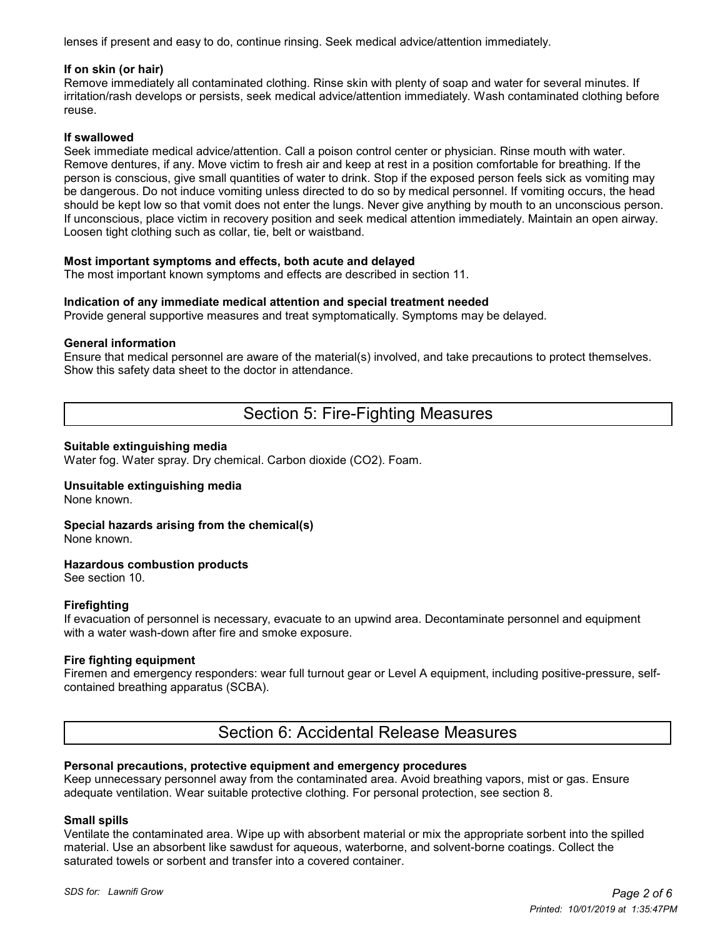lenses if present and easy to do, continue rinsing. Seek medical advice/attention immediately.

#### **If on skin (or hair)**

Remove immediately all contaminated clothing. Rinse skin with plenty of soap and water for several minutes. If irritation/rash develops or persists, seek medical advice/attention immediately. Wash contaminated clothing before reuse.

#### **If swallowed**

Seek immediate medical advice/attention. Call a poison control center or physician. Rinse mouth with water. Remove dentures, if any. Move victim to fresh air and keep at rest in a position comfortable for breathing. If the person is conscious, give small quantities of water to drink. Stop if the exposed person feels sick as vomiting may be dangerous. Do not induce vomiting unless directed to do so by medical personnel. If vomiting occurs, the head should be kept low so that vomit does not enter the lungs. Never give anything by mouth to an unconscious person. If unconscious, place victim in recovery position and seek medical attention immediately. Maintain an open airway. Loosen tight clothing such as collar, tie, belt or waistband.

#### **Most important symptoms and effects, both acute and delayed**

The most important known symptoms and effects are described in section 11.

#### **Indication of any immediate medical attention and special treatment needed**

Provide general supportive measures and treat symptomatically. Symptoms may be delayed.

#### **General information**

Ensure that medical personnel are aware of the material(s) involved, and take precautions to protect themselves. Show this safety data sheet to the doctor in attendance.

## Section 5: Fire-Fighting Measures

#### **Suitable extinguishing media**

Water fog. Water spray. Dry chemical. Carbon dioxide (CO2). Foam.

#### **Unsuitable extinguishing media**

None known.

#### **Special hazards arising from the chemical(s)**

None known.

#### **Hazardous combustion products**

See section 10.

#### **Firefighting**

If evacuation of personnel is necessary, evacuate to an upwind area. Decontaminate personnel and equipment with a water wash-down after fire and smoke exposure.

#### **Fire fighting equipment**

Firemen and emergency responders: wear full turnout gear or Level A equipment, including positive-pressure, selfcontained breathing apparatus (SCBA).

## Section 6: Accidental Release Measures

#### **Personal precautions, protective equipment and emergency procedures**

Keep unnecessary personnel away from the contaminated area. Avoid breathing vapors, mist or gas. Ensure adequate ventilation. Wear suitable protective clothing. For personal protection, see section 8.

#### **Small spills**

Ventilate the contaminated area. Wipe up with absorbent material or mix the appropriate sorbent into the spilled material. Use an absorbent like sawdust for aqueous, waterborne, and solvent-borne coatings. Collect the saturated towels or sorbent and transfer into a covered container.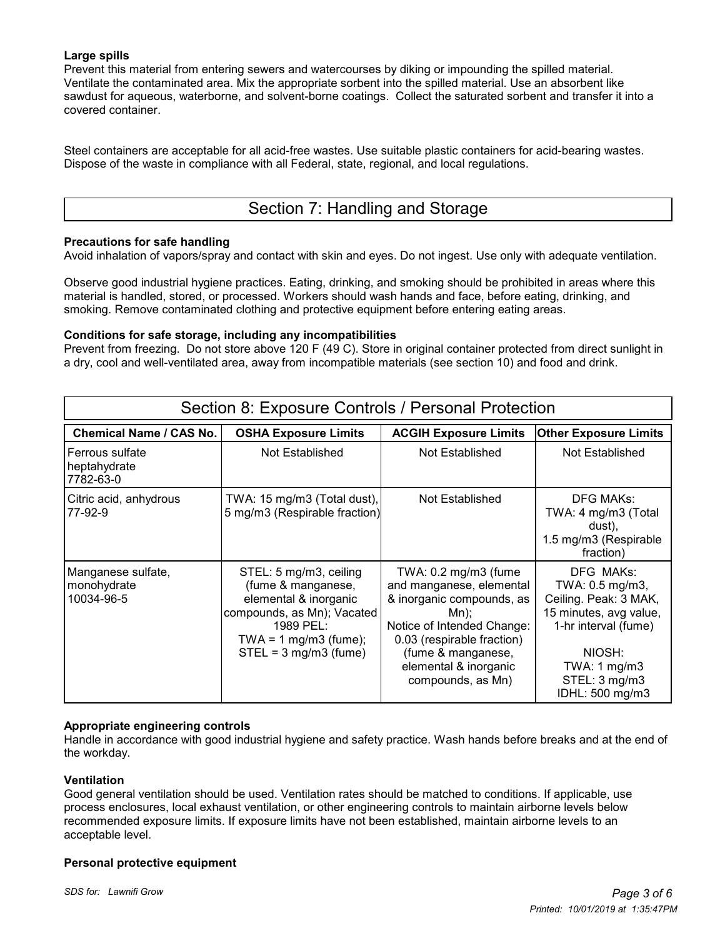#### **Large spills**

Prevent this material from entering sewers and watercourses by diking or impounding the spilled material. Ventilate the contaminated area. Mix the appropriate sorbent into the spilled material. Use an absorbent like sawdust for aqueous, waterborne, and solvent-borne coatings. Collect the saturated sorbent and transfer it into a covered container.

Steel containers are acceptable for all acid-free wastes. Use suitable plastic containers for acid-bearing wastes. Dispose of the waste in compliance with all Federal, state, regional, and local regulations.

## Section 7: Handling and Storage

#### **Precautions for safe handling**

Avoid inhalation of vapors/spray and contact with skin and eyes. Do not ingest. Use only with adequate ventilation.

Observe good industrial hygiene practices. Eating, drinking, and smoking should be prohibited in areas where this material is handled, stored, or processed. Workers should wash hands and face, before eating, drinking, and smoking. Remove contaminated clothing and protective equipment before entering eating areas.

#### **Conditions for safe storage, including any incompatibilities**

Prevent from freezing. Do not store above 120 F (49 C). Store in original container protected from direct sunlight in a dry, cool and well-ventilated area, away from incompatible materials (see section 10) and food and drink.

| Section 8: Exposure Controls / Personal Protection |                                                                                                                                                                                 |                                                                                                                                                                                                                                  |                                                                                                                                                                                  |  |  |  |
|----------------------------------------------------|---------------------------------------------------------------------------------------------------------------------------------------------------------------------------------|----------------------------------------------------------------------------------------------------------------------------------------------------------------------------------------------------------------------------------|----------------------------------------------------------------------------------------------------------------------------------------------------------------------------------|--|--|--|
| <b>Chemical Name / CAS No.</b>                     | <b>OSHA Exposure Limits</b>                                                                                                                                                     | <b>ACGIH Exposure Limits</b>                                                                                                                                                                                                     | <b>Other Exposure Limits</b>                                                                                                                                                     |  |  |  |
| l Ferrous sulfate<br>heptahydrate<br>7782-63-0     | Not Established                                                                                                                                                                 | Not Established                                                                                                                                                                                                                  | Not Established                                                                                                                                                                  |  |  |  |
| Citric acid, anhydrous<br>77-92-9                  | TWA: 15 mg/m3 (Total dust),<br>5 mg/m3 (Respirable fraction)                                                                                                                    | Not Established                                                                                                                                                                                                                  | DFG MAKs:<br>TWA: 4 mg/m3 (Total<br>dust),<br>1.5 mg/m3 (Respirable<br>fraction)                                                                                                 |  |  |  |
| Manganese sulfate,<br>monohydrate<br>10034-96-5    | STEL: 5 mg/m3, ceiling<br>(fume & manganese,<br>elemental & inorganic<br>compounds, as Mn); Vacated<br>1989 PEL:<br>TWA = $1 \text{ mg/m}$ 3 (fume);<br>$STEL = 3 mg/m3$ (fume) | TWA: $0.2 \text{ mg/m}$ 3 (fume<br>and manganese, elemental<br>& inorganic compounds, as<br>Mn);<br>Notice of Intended Change:<br>0.03 (respirable fraction)<br>(fume & manganese,<br>elemental & inorganic<br>compounds, as Mn) | DFG MAKs:<br>TWA: 0.5 mg/m3,<br>Ceiling. Peak: 3 MAK,<br>15 minutes, avg value,<br>1-hr interval (fume)<br>NIOSH:<br>TWA: $1 \text{ mg/m}$ 3<br>STEL: 3 mg/m3<br>IDHL: 500 mg/m3 |  |  |  |

#### **Appropriate engineering controls**

Handle in accordance with good industrial hygiene and safety practice. Wash hands before breaks and at the end of the workday.

#### **Ventilation**

Good general ventilation should be used. Ventilation rates should be matched to conditions. If applicable, use process enclosures, local exhaust ventilation, or other engineering controls to maintain airborne levels below recommended exposure limits. If exposure limits have not been established, maintain airborne levels to an acceptable level.

#### **Personal protective equipment**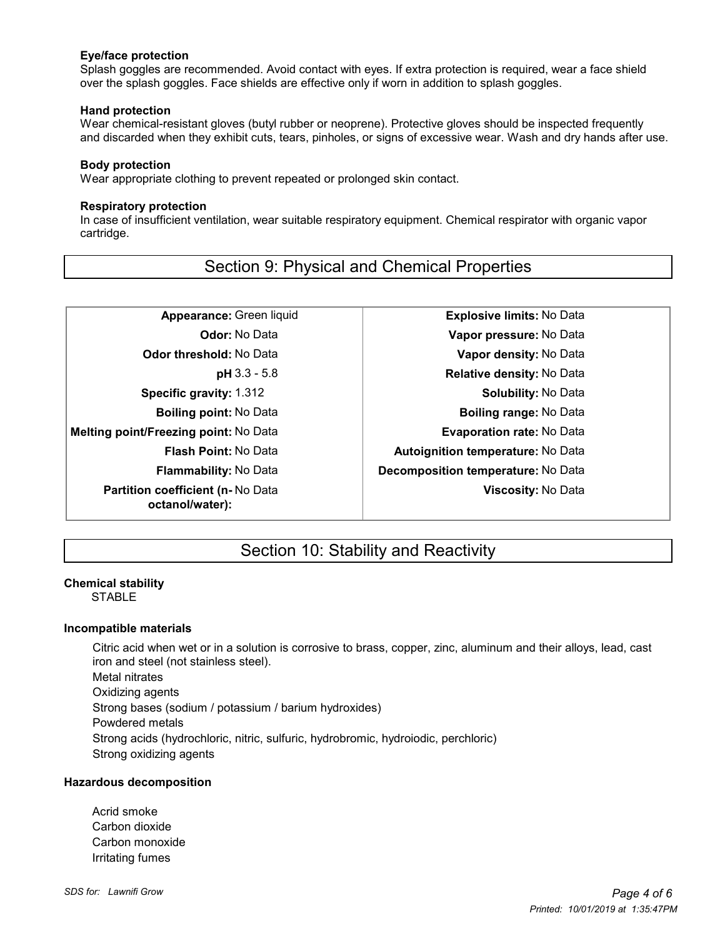#### **Eye/face protection**

 Splash goggles are recommended. Avoid contact with eyes. If extra protection is required, wear a face shield over the splash goggles. Face shields are effective only if worn in addition to splash goggles.

#### **Hand protection**

 Wear chemical-resistant gloves (butyl rubber or neoprene). Protective gloves should be inspected frequently and discarded when they exhibit cuts, tears, pinholes, or signs of excessive wear. Wash and dry hands after use.

#### **Body protection**

Wear appropriate clothing to prevent repeated or prolonged skin contact.

#### **Respiratory protection**

 In case of insufficient ventilation, wear suitable respiratory equipment. Chemical respirator with organic vapor cartridge.

## Section 9: Physical and Chemical Properties

**Melting point/Freezing point:** No Data **Evaporation rate:** No Data **Partition coefficient (n-** No Data **octanol/water):**

**Appearance:** Green liquid **Explosive limits:** No Data **Odor:** No Data **Vapor pressure:** No Data **Odor threshold:** No Data **Vapor density:** No Data **pH** 3.3 - 5.8 **Relative density:** No Data **Specific gravity:** 1.312 **Solubility:** No Data **Boiling point:** No Data **Boiling range:** No Data **Flash Point:** No Data **Autoignition <b>temperature:** No Data **Flammability:** No Data **Decomposition temperature:** No Data **Viscosity:** No Data

## Section 10: Stability and Reactivity

## **Chemical stability**

**STABLE** 

#### **Incompatible materials**

Citric acid when wet or in a solution is corrosive to brass, copper, zinc, aluminum and their alloys, lead, cast iron and steel (not stainless steel). Metal nitrates Oxidizing agents Strong bases (sodium / potassium / barium hydroxides) Powdered metals Strong acids (hydrochloric, nitric, sulfuric, hydrobromic, hydroiodic, perchloric) Strong oxidizing agents

#### **Hazardous decomposition**

Acrid smoke Carbon dioxide Carbon monoxide Irritating fumes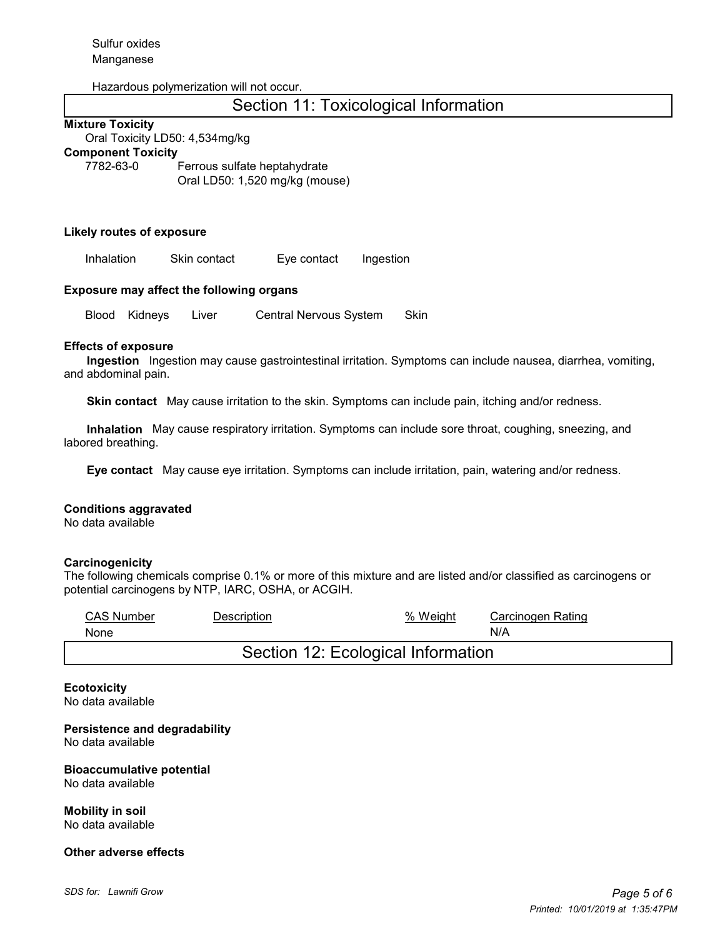#### Hazardous polymerization will not occur.

# Section 11: Toxicological Information

#### **Mixture Toxicity**

Oral Toxicity LD50: 4,534mg/kg

### **Component Toxicity**

7782-63-0 Ferrous sulfate heptahydrate Oral LD50: 1,520 mg/kg (mouse)

#### **Likely routes of exposure**

Inhalation Skin contact Eye contact Ingestion

#### **Exposure may affect the following organs**

Blood Kidneys Liver Central Nervous System Skin

#### **Effects of exposure**

 **Ingestion** Ingestion may cause gastrointestinal irritation. Symptoms can include nausea, diarrhea, vomiting, and abdominal pain.

 **Skin contact** May cause irritation to the skin. Symptoms can include pain, itching and/or redness.

 **Inhalation** May cause respiratory irritation. Symptoms can include sore throat, coughing, sneezing, and labored breathing.

 **Eye contact** May cause eye irritation. Symptoms can include irritation, pain, watering and/or redness.

#### **Conditions aggravated**

No data available

#### **Carcinogenicity**

The following chemicals comprise 0.1% or more of this mixture and are listed and/or classified as carcinogens or potential carcinogens by NTP, IARC, OSHA, or ACGIH.

| CAS Number                         | Description | % Weight | Carcinogen Rating |  |  |  |
|------------------------------------|-------------|----------|-------------------|--|--|--|
| None                               |             |          | N/A               |  |  |  |
| Section 12: Ecological Information |             |          |                   |  |  |  |

**Ecotoxicity** No data available

**Persistence and degradability** No data available

**Bioaccumulative potential** No data available

**Mobility in soil** No data available

#### **Other adverse effects**